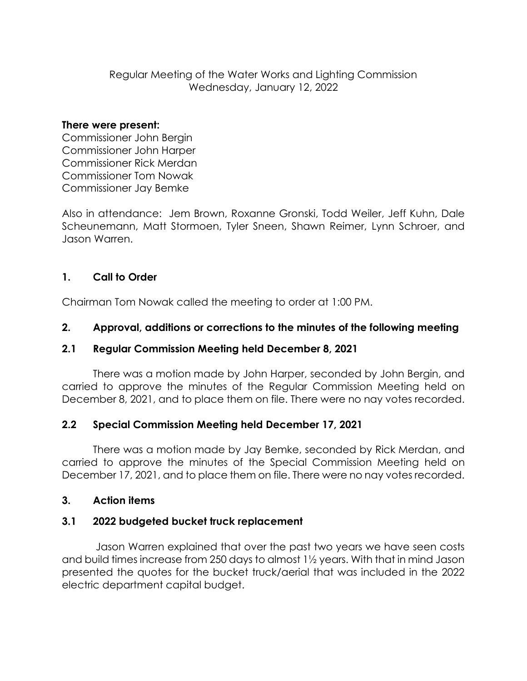Regular Meeting of the Water Works and Lighting Commission Wednesday, January 12, 2022

#### **There were present:**

Commissioner John Bergin Commissioner John Harper Commissioner Rick Merdan Commissioner Tom Nowak Commissioner Jay Bemke

Also in attendance: Jem Brown, Roxanne Gronski, Todd Weiler, Jeff Kuhn, Dale Scheunemann, Matt Stormoen, Tyler Sneen, Shawn Reimer, Lynn Schroer, and Jason Warren.

# **1. Call to Order**

Chairman Tom Nowak called the meeting to order at 1:00 PM.

# **2. Approval, additions or corrections to the minutes of the following meeting**

# **2.1 Regular Commission Meeting held December 8, 2021**

There was a motion made by John Harper, seconded by John Bergin, and carried to approve the minutes of the Regular Commission Meeting held on December 8, 2021, and to place them on file. There were no nay votes recorded.

# **2.2 Special Commission Meeting held December 17, 2021**

There was a motion made by Jay Bemke, seconded by Rick Merdan, and carried to approve the minutes of the Special Commission Meeting held on December 17, 2021, and to place them on file. There were no nay votes recorded.

# **3. Action items**

# **3.1 2022 budgeted bucket truck replacement**

Jason Warren explained that over the past two years we have seen costs and build times increase from 250 days to almost 1½ years. With that in mind Jason presented the quotes for the bucket truck/aerial that was included in the 2022 electric department capital budget.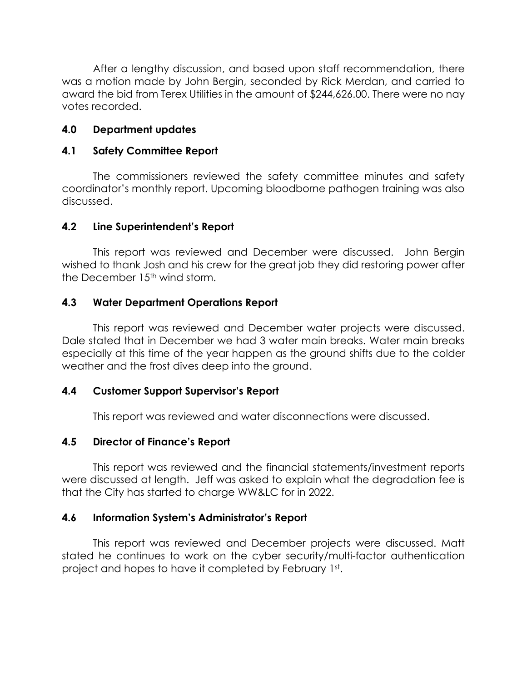After a lengthy discussion, and based upon staff recommendation, there was a motion made by John Bergin, seconded by Rick Merdan, and carried to award the bid from Terex Utilities in the amount of \$244,626.00. There were no nay votes recorded.

## **4.0 Department updates**

### **4.1 Safety Committee Report**

The commissioners reviewed the safety committee minutes and safety coordinator's monthly report. Upcoming bloodborne pathogen training was also discussed.

### **4.2 Line Superintendent's Report**

This report was reviewed and December were discussed. John Bergin wished to thank Josh and his crew for the great job they did restoring power after the December 15<sup>th</sup> wind storm.

## **4.3 Water Department Operations Report**

This report was reviewed and December water projects were discussed. Dale stated that in December we had 3 water main breaks. Water main breaks especially at this time of the year happen as the ground shifts due to the colder weather and the frost dives deep into the ground.

## **4.4 Customer Support Supervisor's Report**

This report was reviewed and water disconnections were discussed.

## **4.5 Director of Finance's Report**

This report was reviewed and the financial statements/investment reports were discussed at length. Jeff was asked to explain what the degradation fee is that the City has started to charge WW&LC for in 2022.

## **4.6 Information System's Administrator's Report**

This report was reviewed and December projects were discussed. Matt stated he continues to work on the cyber security/multi-factor authentication project and hopes to have it completed by February 1st .